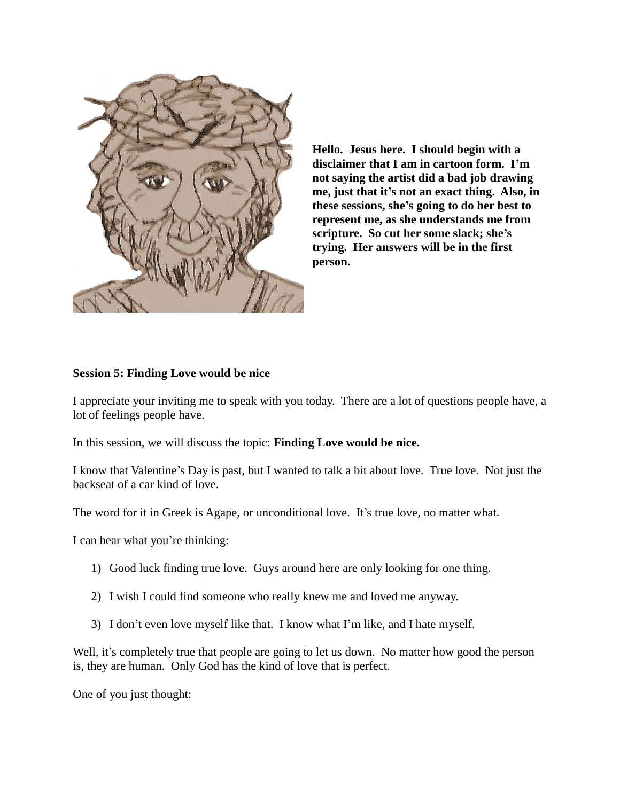

**Hello. Jesus here. I should begin with a disclaimer that I am in cartoon form. I'm not saying the artist did a bad job drawing me, just that it's not an exact thing. Also, in these sessions, she's going to do her best to represent me, as she understands me from scripture. So cut her some slack; she's trying. Her answers will be in the first person.** 

## **Session 5: Finding Love would be nice**

I appreciate your inviting me to speak with you today. There are a lot of questions people have, a lot of feelings people have.

In this session, we will discuss the topic: **Finding Love would be nice.**

I know that Valentine's Day is past, but I wanted to talk a bit about love. True love. Not just the backseat of a car kind of love.

The word for it in Greek is Agape, or unconditional love. It's true love, no matter what.

I can hear what you're thinking:

- 1) Good luck finding true love. Guys around here are only looking for one thing.
- 2) I wish I could find someone who really knew me and loved me anyway.
- 3) I don't even love myself like that. I know what I'm like, and I hate myself.

Well, it's completely true that people are going to let us down. No matter how good the person is, they are human. Only God has the kind of love that is perfect.

One of you just thought: